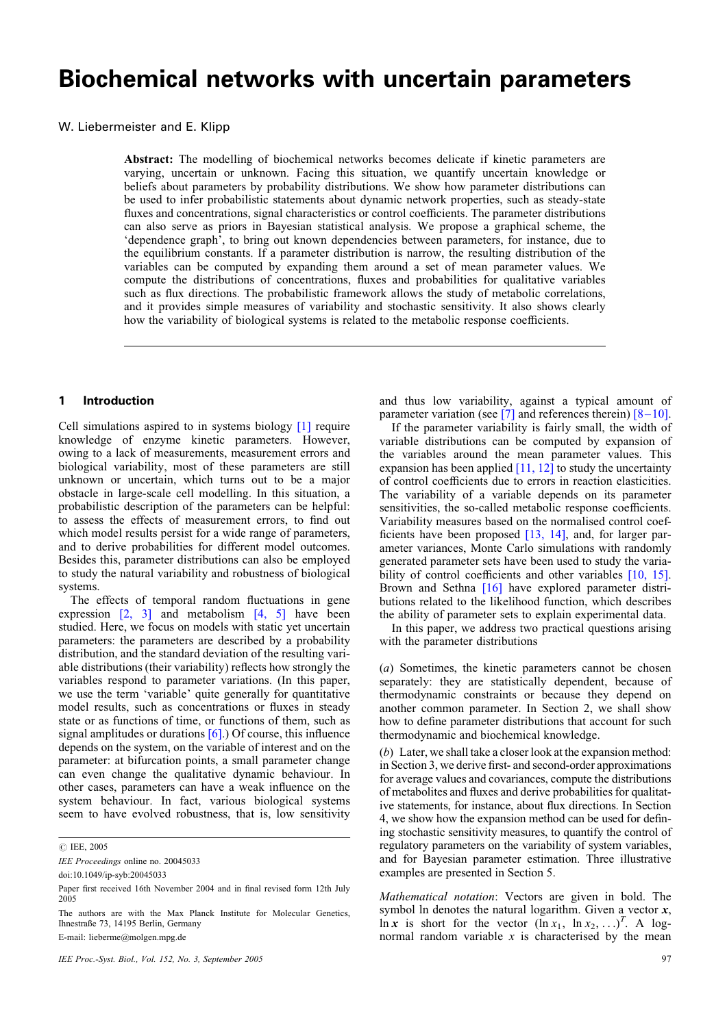# Biochemical networks with uncertain parameters

W. Liebermeister and E. Klipp

Abstract: The modelling of biochemical networks becomes delicate if kinetic parameters are varying, uncertain or unknown. Facing this situation, we quantify uncertain knowledge or beliefs about parameters by probability distributions. We show how parameter distributions can be used to infer probabilistic statements about dynamic network properties, such as steady-state fluxes and concentrations, signal characteristics or control coefficients. The parameter distributions can also serve as priors in Bayesian statistical analysis. We propose a graphical scheme, the 'dependence graph', to bring out known dependencies between parameters, for instance, due to the equilibrium constants. If a parameter distribution is narrow, the resulting distribution of the variables can be computed by expanding them around a set of mean parameter values. We compute the distributions of concentrations, fluxes and probabilities for qualitative variables such as flux directions. The probabilistic framework allows the study of metabolic correlations, and it provides simple measures of variability and stochastic sensitivity. It also shows clearly how the variability of biological systems is related to the metabolic response coefficients.

#### 1 Introduction

Cell simulations aspired to in systems biology [\[1\]](#page-8-0) require knowledge of enzyme kinetic parameters. However, owing to a lack of measurements, measurement errors and biological variability, most of these parameters are still unknown or uncertain, which turns out to be a major obstacle in large-scale cell modelling. In this situation, a probabilistic description of the parameters can be helpful: to assess the effects of measurement errors, to find out which model results persist for a wide range of parameters, and to derive probabilities for different model outcomes. Besides this, parameter distributions can also be employed to study the natural variability and robustness of biological systems.

The effects of temporal random fluctuations in gene expression  $\begin{bmatrix} 2, 3 \end{bmatrix}$  and metabolism  $\begin{bmatrix} 4, 5 \end{bmatrix}$  have been studied. Here, we focus on models with static yet uncertain parameters: the parameters are described by a probability distribution, and the standard deviation of the resulting variable distributions (their variability) reflects how strongly the variables respond to parameter variations. (In this paper, we use the term 'variable' quite generally for quantitative model results, such as concentrations or fluxes in steady state or as functions of time, or functions of them, such as signal amplitudes or durations  $[6]$ .) Of course, this influence depends on the system, on the variable of interest and on the parameter: at bifurcation points, a small parameter change can even change the qualitative dynamic behaviour. In other cases, parameters can have a weak influence on the system behaviour. In fact, various biological systems seem to have evolved robustness, that is, low sensitivity

E-mail: lieberme@molgen.mpg.de

and thus low variability, against a typical amount of parameter variation (see [\[7\]](#page-8-0) and references therein)  $[8-10]$ .

If the parameter variability is fairly small, the width of variable distributions can be computed by expansion of the variables around the mean parameter values. This expansion has been applied  $[11, 12]$  to study the uncertainty of control coefficients due to errors in reaction elasticities. The variability of a variable depends on its parameter sensitivities, the so-called metabolic response coefficients. Variability measures based on the normalised control coefficients have been proposed [\[13, 14\]](#page-8-0), and, for larger parameter variances, Monte Carlo simulations with randomly generated parameter sets have been used to study the varia-bility of control coefficients and other variables [\[10, 15\]](#page-8-0). Brown and Sethna [\[16\]](#page-8-0) have explored parameter distributions related to the likelihood function, which describes the ability of parameter sets to explain experimental data.

In this paper, we address two practical questions arising with the parameter distributions

(a) Sometimes, the kinetic parameters cannot be chosen separately: they are statistically dependent, because of thermodynamic constraints or because they depend on another common parameter. In Section 2, we shall show how to define parameter distributions that account for such thermodynamic and biochemical knowledge.

(b) Later, we shall take a closer look at the expansion method: in Section 3, we derive first- and second-order approximations for average values and covariances, compute the distributions of metabolites and fluxes and derive probabilities for qualitative statements, for instance, about flux directions. In Section 4, we show how the expansion method can be used for defining stochastic sensitivity measures, to quantify the control of regulatory parameters on the variability of system variables, and for Bayesian parameter estimation. Three illustrative examples are presented in Section 5.

Mathematical notation: Vectors are given in bold. The symbol ln denotes the natural logarithm. Given a vector  $x$ ,  $\ln x$  is short for the vector  $(\ln x_1, \ln x_2, ...)^T$ . A lognormal random variable  $x$  is characterised by the mean

*<sup>#</sup>* IEE, 2005

IEE Proceedings online no. 20045033

doi:10.1049/ip-syb:20045033

Paper first received 16th November 2004 and in final revised form 12th July 2005

The authors are with the Max Planck Institute for Molecular Genetics, Ihnestraße 73, 14195 Berlin, Germany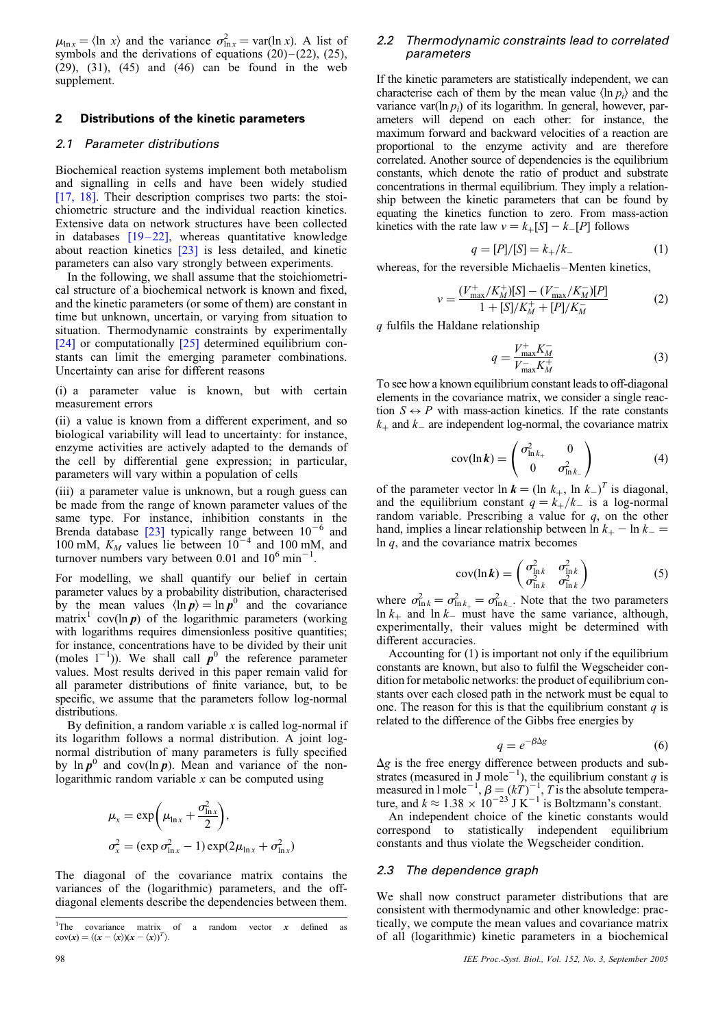$\mu_{\ln x} = \langle \ln x \rangle$  and the variance  $\sigma_{\ln x}^2 = \text{var}(\ln x)$ . A list of symbols and the derivations of equations  $(20)$  –  $(22)$ ,  $(25)$ , (29), (31), (45) and (46) can be found in the web supplement.

#### 2 Distributions of the kinetic parameters

#### 2.1 Parameter distributions

Biochemical reaction systems implement both metabolism and signalling in cells and have been widely studied [\[17, 18\].](#page-8-0) Their description comprises two parts: the stoichiometric structure and the individual reaction kinetics. Extensive data on network structures have been collected in databases  $[19-22]$ , whereas quantitative knowledge about reaction kinetics [\[23\]](#page-8-0) is less detailed, and kinetic parameters can also vary strongly between experiments.

In the following, we shall assume that the stoichiometrical structure of a biochemical network is known and fixed, and the kinetic parameters (or some of them) are constant in time but unknown, uncertain, or varying from situation to situation. Thermodynamic constraints by experimentally [\[24\]](#page-8-0) or computationally [\[25\]](#page-8-0) determined equilibrium constants can limit the emerging parameter combinations. Uncertainty can arise for different reasons

(i) a parameter value is known, but with certain measurement errors

(ii) a value is known from a different experiment, and so biological variability will lead to uncertainty: for instance, enzyme activities are actively adapted to the demands of the cell by differential gene expression; in particular, parameters will vary within a population of cells

(iii) a parameter value is unknown, but a rough guess can be made from the range of known parameter values of the same type. For instance, inhibition constants in the Brenda database [\[23\]](#page-8-0) typically range between  $10^{-6}$  and 100 mM,  $K_M$  values lie between  $10^{-4}$  and 100 mM, and turnover numbers vary between 0.01 and  $10^6$  min<sup>-1</sup>.

For modelling, we shall quantify our belief in certain parameter values by a probability distribution, characterised by the mean values  $\langle \ln p \rangle = \ln p^0$  and the covariance matrix<sup>1</sup> cov(ln  $p$ ) of the logarithmic parameters (working with logarithms requires dimensionless positive quantities; for instance, concentrations have to be divided by their unit (moles  $1^{-1}$ )). We shall call  $p^0$  the reference parameter values. Most results derived in this paper remain valid for all parameter distributions of finite variance, but, to be specific, we assume that the parameters follow log-normal distributions.

By definition, a random variable  $x$  is called log-normal if its logarithm follows a normal distribution. A joint lognormal distribution of many parameters is fully specified by  $\ln p^0$  and cov( $\ln p$ ). Mean and variance of the nonlogarithmic random variable  $x$  can be computed using

$$
\mu_x = \exp\left(\mu_{\ln x} + \frac{\sigma_{\ln x}^2}{2}\right),
$$
  

$$
\sigma_x^2 = (\exp \sigma_{\ln x}^2 - 1) \exp(2\mu_{\ln x} + \sigma_{\ln x}^2)
$$

The diagonal of the covariance matrix contains the variances of the (logarithmic) parameters, and the offdiagonal elements describe the dependencies between them.

#### 2.2 Thermodynamic constraints lead to correlated parameters

If the kinetic parameters are statistically independent, we can characterise each of them by the mean value  $\langle \ln p_i \rangle$  and the variance var(ln  $p_i$ ) of its logarithm. In general, however, parameters will depend on each other: for instance, the maximum forward and backward velocities of a reaction are proportional to the enzyme activity and are therefore correlated. Another source of dependencies is the equilibrium constants, which denote the ratio of product and substrate concentrations in thermal equilibrium. They imply a relationship between the kinetic parameters that can be found by equating the kinetics function to zero. From mass-action kinetics with the rate law  $v = k_{+}[S] - k_{-}[P]$  follows

$$
q = [P]/[S] = k_{+}/k_{-}
$$
 (1)

whereas, for the reversible Michaelis-Menten kinetics,

$$
v = \frac{(V_{\text{max}}^+/K_M^+)[S] - (V_{\text{max}}^-/K_M^-)[P]}{1 + [S]/K_M^+ + [P]/K_M^-}
$$
(2)

q fulfils the Haldane relationship

$$
q = \frac{V_{\text{max}}^+ K_M^-}{V_{\text{max}}^- K_M^+}
$$
\n<sup>(3)</sup>

To see how a known equilibrium constant leads to off-diagonal elements in the covariance matrix, we consider a single reaction  $S \leftrightarrow P$  with mass-action kinetics. If the rate constants  $k_{\perp}$  and  $k_{\perp}$  are independent log-normal, the covariance matrix

$$
cov(\ln k) = \begin{pmatrix} \sigma_{\ln k_+}^2 & 0\\ 0 & \sigma_{\ln k_-}^2 \end{pmatrix}
$$
 (4)

of the parameter vector  $\ln k = (\ln k_+,\ln k_-)^T$  is diagonal, and the equilibrium constant  $q = k_{+}/k_{-}$  is a log-normal random variable. Prescribing a value for  $q$ , on the other hand, implies a linear relationship between  $\ln k_+ - \ln k_- =$  $ln q$ , and the covariance matrix becomes

$$
cov(\ln k) = \begin{pmatrix} \sigma_{\ln k}^2 & \sigma_{\ln k}^2 \\ \sigma_{\ln k}^2 & \sigma_{\ln k}^2 \end{pmatrix}
$$
 (5)

where  $\sigma_{\ln k}^2 = \sigma_{\ln k_+}^2 = \sigma_{\ln k_-}^2$ . Note that the two parameters  $\ln k_+$  and  $\ln k_-$  must have the same variance, although, experimentally, their values might be determined with different accuracies.

Accounting for (1) is important not only if the equilibrium constants are known, but also to fulfil the Wegscheider condition for metabolic networks: the product of equilibrium constants over each closed path in the network must be equal to one. The reason for this is that the equilibrium constant  $q$  is related to the difference of the Gibbs free energies by

$$
q = e^{-\beta \Delta g} \tag{6}
$$

 $\Delta g$  is the free energy difference between products and substrates (measured in J mole<sup>-1</sup>), the equilibrium constant q is measured in 1 mole<sup>-1</sup>,  $\beta = (kT)^{-1}$ , T is the absolute temperature, and  $k \approx 1.38 \times 10^{-23}$  J K<sup>-1</sup> is Boltzmann's constant.

An independent choice of the kinetic constants would correspond to statistically independent equilibrium constants and thus violate the Wegscheider condition.

#### 2.3 The dependence graph

We shall now construct parameter distributions that are consistent with thermodynamic and other knowledge: practically, we compute the mean values and covariance matrix of all (logarithmic) kinetic parameters in a biochemical

 $1$ The covariance matrix of a random vector  $x$  defined as  $cov(x) = \langle (x - \langle x \rangle)(x - \langle x \rangle)^T \rangle.$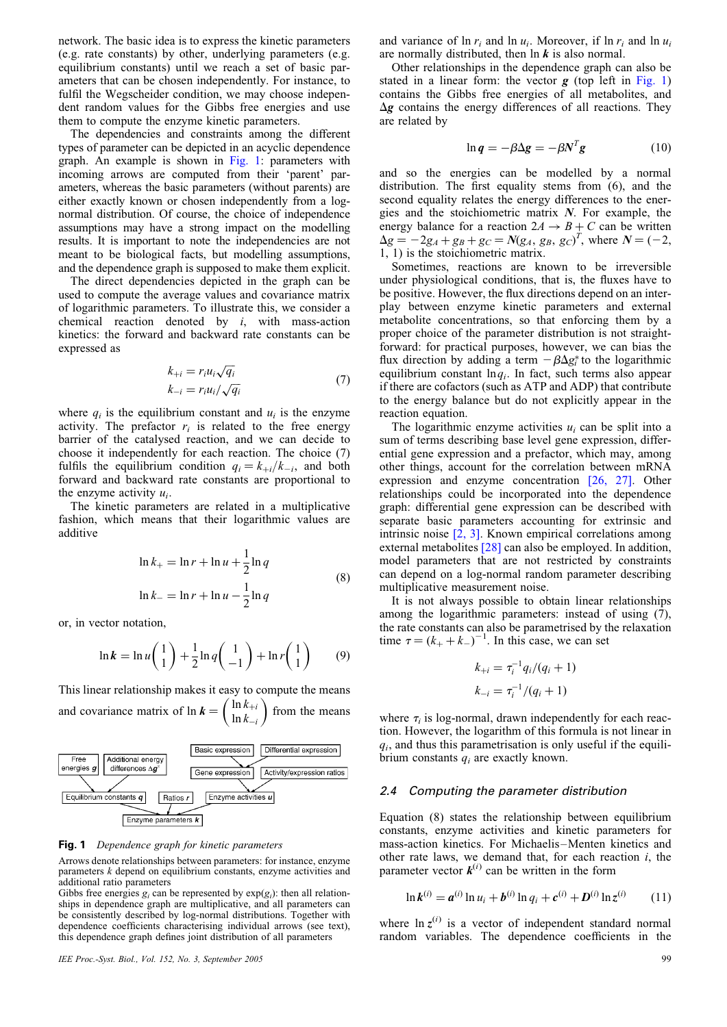network. The basic idea is to express the kinetic parameters (e.g. rate constants) by other, underlying parameters (e.g. equilibrium constants) until we reach a set of basic parameters that can be chosen independently. For instance, to fulfil the Wegscheider condition, we may choose independent random values for the Gibbs free energies and use them to compute the enzyme kinetic parameters.

The dependencies and constraints among the different types of parameter can be depicted in an acyclic dependence graph. An example is shown in Fig. 1: parameters with incoming arrows are computed from their 'parent' parameters, whereas the basic parameters (without parents) are either exactly known or chosen independently from a lognormal distribution. Of course, the choice of independence assumptions may have a strong impact on the modelling results. It is important to note the independencies are not meant to be biological facts, but modelling assumptions, and the dependence graph is supposed to make them explicit.

The direct dependencies depicted in the graph can be used to compute the average values and covariance matrix of logarithmic parameters. To illustrate this, we consider a chemical reaction denoted by  $i$ , with mass-action kinetics: the forward and backward rate constants can be expressed as

$$
k_{+i} = r_i u_i \sqrt{q_i}
$$
  
\n
$$
k_{-i} = r_i u_i / \sqrt{q_i}
$$
\n(7)

where  $q_i$  is the equilibrium constant and  $u_i$  is the enzyme activity. The prefactor  $r_i$  is related to the free energy barrier of the catalysed reaction, and we can decide to choose it independently for each reaction. The choice (7) fulfils the equilibrium condition  $q_i = k_{+i}/k_{-i}$ , and both forward and backward rate constants are proportional to the enzyme activity  $u_i$ .

The kinetic parameters are related in a multiplicative fashion, which means that their logarithmic values are additive

$$
\ln k_{+} = \ln r + \ln u + \frac{1}{2} \ln q
$$
  

$$
\ln k_{-} = \ln r + \ln u - \frac{1}{2} \ln q
$$
 (8)

or, in vector notation,

$$
\ln k = \ln u \begin{pmatrix} 1 \\ 1 \end{pmatrix} + \frac{1}{2} \ln q \begin{pmatrix} 1 \\ -1 \end{pmatrix} + \ln r \begin{pmatrix} 1 \\ 1 \end{pmatrix} \tag{9}
$$

This linear relationship makes it easy to compute the means and covariance matrix of  $\ln k = \left(\frac{\ln k_{+i}}{\ln k_{-i}}\right)$  $\left(\begin{array}{c} \ln k_{+i} \\ \ln k_{+i} \end{array}\right)$  from the means



#### Fig. 1 Dependence graph for kinetic parameters

Arrows denote relationships between parameters: for instance, enzyme parameters k depend on equilibrium constants, enzyme activities and additional ratio parameters

Gibbs free energies  $g_i$  can be represented by  $exp(g_i)$ : then all relationships in dependence graph are multiplicative, and all parameters can be consistently described by log-normal distributions. Together with dependence coefficients characterising individual arrows (see text), this dependence graph defines joint distribution of all parameters

#### IEE Proc.-Syst. Biol., Vol. 152, No. 3, September 2005 99

and variance of  $\ln r_i$  and  $\ln u_i$ . Moreover, if  $\ln r_i$  and  $\ln u_i$ are normally distributed, then  $\ln k$  is also normal.

Other relationships in the dependence graph can also be stated in a linear form: the vector  $g$  (top left in Fig. 1) contains the Gibbs free energies of all metabolites, and  $\Delta g$  contains the energy differences of all reactions. They are related by

$$
\ln q = -\beta \Delta g = -\beta N^T g \tag{10}
$$

and so the energies can be modelled by a normal distribution. The first equality stems from (6), and the second equality relates the energy differences to the energies and the stoichiometric matrix  $N$ . For example, the energy balance for a reaction  $2A \rightarrow B + C$  can be written  $\Delta g = -2g_A + g_B + g_C = N(g_A, g_B, g_C)^T$ , where  $N = (-2,$ 1, 1) is the stoichiometric matrix.

Sometimes, reactions are known to be irreversible under physiological conditions, that is, the fluxes have to be positive. However, the flux directions depend on an interplay between enzyme kinetic parameters and external metabolite concentrations, so that enforcing them by a proper choice of the parameter distribution is not straightforward: for practical purposes, however, we can bias the flux direction by adding a term  $-\beta \Delta g_i^*$  to the logarithmic equilibrium constant  $ln q_i$ . In fact, such terms also appear if there are cofactors (such as ATP and ADP) that contribute to the energy balance but do not explicitly appear in the reaction equation.

The logarithmic enzyme activities  $u_i$  can be split into a sum of terms describing base level gene expression, differential gene expression and a prefactor, which may, among other things, account for the correlation between mRNA expression and enzyme concentration [\[26, 27\].](#page-8-0) Other relationships could be incorporated into the dependence graph: differential gene expression can be described with separate basic parameters accounting for extrinsic and intrinsic noise [\[2, 3\]](#page-8-0). Known empirical correlations among external metabolites [\[28\]](#page-8-0) can also be employed. In addition, model parameters that are not restricted by constraints can depend on a log-normal random parameter describing multiplicative measurement noise.

It is not always possible to obtain linear relationships among the logarithmic parameters: instead of using (7), the rate constants can also be parametrised by the relaxation time  $\tau = (k_+ + k_-)^{-1}$ . In this case, we can set

$$
k_{+i} = \tau_i^{-1} q_i/(q_i + 1)
$$
  

$$
k_{-i} = \tau_i^{-1}/(q_i + 1)
$$

where  $\tau_i$  is log-normal, drawn independently for each reaction. However, the logarithm of this formula is not linear in  $q_i$ , and thus this parametrisation is only useful if the equilibrium constants  $q_i$  are exactly known.

#### 2.4 Computing the parameter distribution

Equation (8) states the relationship between equilibrium constants, enzyme activities and kinetic parameters for mass-action kinetics. For Michaelis –Menten kinetics and other rate laws, we demand that, for each reaction  $i$ , the parameter vector  $k^{(i)}$  can be written in the form

$$
\ln k^{(i)} = a^{(i)} \ln u_i + b^{(i)} \ln q_i + c^{(i)} + D^{(i)} \ln z^{(i)} \qquad (11)
$$

where  $\ln z^{(i)}$  is a vector of independent standard normal random variables. The dependence coefficients in the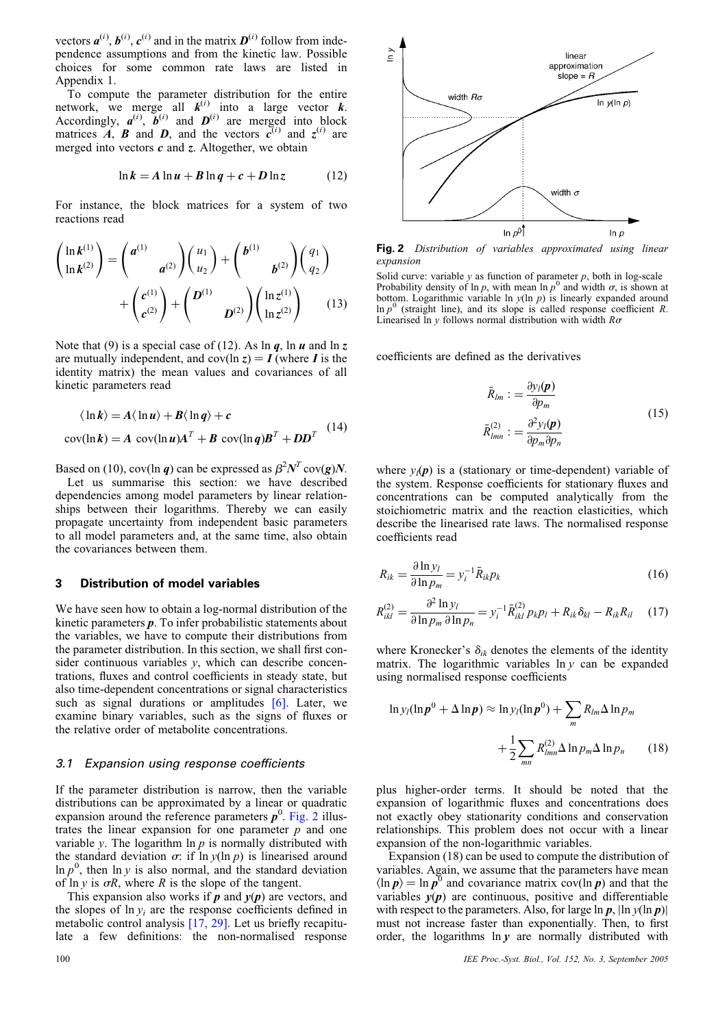<span id="page-3-0"></span>vectors  $a^{(i)}$ ,  $b^{(i)}$ ,  $c^{(i)}$  and in the matrix  $D^{(i)}$  follow from independence assumptions and from the kinetic law. Possible choices for some common rate laws are listed in Appendix 1.

To compute the parameter distribution for the entire network, we merge all  $k^{(i)}$  into a large vector k. Accordingly,  $a^{(i)}$ ,  $b^{(i)}$  and  $D^{(i)}$  are merged into block matrices  $\overrightarrow{A}$ ,  $\overrightarrow{B}$  and  $\overrightarrow{D}$ , and the vectors  $\overrightarrow{c}^{(i)}$  and  $\overrightarrow{z}^{(i)}$  are merged into vectors  $c$  and  $\zeta$ . Altogether, we obtain

$$
\ln k = A \ln u + B \ln q + c + D \ln z \tag{12}
$$

For instance, the block matrices for a system of two reactions read

$$
\begin{pmatrix}\n\ln k^{(1)} \\
\ln k^{(2)}\n\end{pmatrix} = \begin{pmatrix}\na^{(1)} & a^{(2)}\n\end{pmatrix} \begin{pmatrix}\nu_1 \\
u_2\n\end{pmatrix} + \begin{pmatrix}\nb^{(1)} & b^{(2)}\n\end{pmatrix} \begin{pmatrix}\nq_1 \\
q_2\n\end{pmatrix} + \begin{pmatrix}\nc^{(1)} \\
c^{(2)}\n\end{pmatrix} + \begin{pmatrix}\nD^{(1)} & D^{(2)}\n\end{pmatrix} \begin{pmatrix}\n\ln z^{(1)} \\
\ln z^{(2)}\n\end{pmatrix}
$$
\n(13)

Note that (9) is a special case of (12). As  $\ln q$ ,  $\ln u$  and  $\ln z$ are mutually independent, and  $cov(\ln z) = I$  (where I is the identity matrix) the mean values and covariances of all kinetic parameters read

$$
\langle \ln k \rangle = A \langle \ln u \rangle + B \langle \ln q \rangle + c
$$
  
cov(ln k) = A cov(ln u)A<sup>T</sup> + B cov(ln q)B<sup>T</sup> + DD<sup>T</sup> (14)

Based on (10), cov(ln q) can be expressed as  $\beta^2 N^T \text{cov}(g)N$ .

Let us summarise this section: we have described dependencies among model parameters by linear relationships between their logarithms. Thereby we can easily propagate uncertainty from independent basic parameters to all model parameters and, at the same time, also obtain the covariances between them.

#### 3 Distribution of model variables

We have seen how to obtain a log-normal distribution of the kinetic parameters p. To infer probabilistic statements about the variables, we have to compute their distributions from the parameter distribution. In this section, we shall first consider continuous variables  $y$ , which can describe concentrations, fluxes and control coefficients in steady state, but also time-dependent concentrations or signal characteristics such as signal durations or amplitudes  $[6]$ . Later, we examine binary variables, such as the signs of fluxes or the relative order of metabolite concentrations.

#### 3.1 Expansion using response coefficients

If the parameter distribution is narrow, then the variable distributions can be approximated by a linear or quadratic expansion around the reference parameters  $p^0$ . Fig. 2 illustrates the linear expansion for one parameter  $p$  and one variable y. The logarithm  $\ln p$  is normally distributed with the standard deviation  $\sigma$ : if ln  $y(\ln p)$  is linearised around In  $p^0$ , then In y is also normal, and the standard deviation of ln y is  $\sigma R$ , where R is the slope of the tangent.

This expansion also works if  $p$  and  $y(p)$  are vectors, and the slopes of  $\ln y_i$  are the response coefficients defined in metabolic control analysis [\[17, 29\]](#page-8-0). Let us briefly recapitulate a few definitions: the non-normalised response



Fig. 2 Distribution of variables approximated using linear expansion

Solid curve: variable y as function of parameter p, both in log-scale Probability density of ln p, with mean ln  $p^0$  and width  $\sigma$ , is shown at bottom. Logarithmic variable ln  $y(\ln p)$  is linearly expanded around  $\ln p^0$  (straight line), and its slope is called response coefficient R. Linearised ln y follows normal distribution with width  $R\sigma$ 

coefficients are defined as the derivatives

$$
\bar{R}_{lm} := \frac{\partial y_l(\mathbf{p})}{\partial p_m}
$$
\n
$$
\bar{R}_{lmn}^{(2)} := \frac{\partial^2 y_l(\mathbf{p})}{\partial p_m \partial p_n}
$$
\n(15)

where  $y_l(\mathbf{p})$  is a (stationary or time-dependent) variable of the system. Response coefficients for stationary fluxes and concentrations can be computed analytically from the stoichiometric matrix and the reaction elasticities, which describe the linearised rate laws. The normalised response coefficients read

$$
R_{ik} = \frac{\partial \ln y_l}{\partial \ln p_m} = y_i^{-1} \bar{R}_{ik} p_k \tag{16}
$$

$$
R_{ikl}^{(2)} = \frac{\partial^2 \ln y_l}{\partial \ln p_m \, \partial \ln p_n} = y_i^{-1} \bar{R}_{ikl}^{(2)} p_k p_l + R_{ik} \delta_{kl} - R_{ik} R_{il} \quad (17)
$$

where Kronecker's  $\delta_{ik}$  denotes the elements of the identity matrix. The logarithmic variables  $\ln y$  can be expanded using normalised response coefficients

$$
\ln y_l(\ln \boldsymbol{p}^0 + \Delta \ln \boldsymbol{p}) \approx \ln y_l(\ln \boldsymbol{p}^0) + \sum_m R_{lm} \Delta \ln p_m
$$

$$
+ \frac{1}{2} \sum_{mn} R_{lmn}^{(2)} \Delta \ln p_m \Delta \ln p_n \qquad (18)
$$

plus higher-order terms. It should be noted that the expansion of logarithmic fluxes and concentrations does not exactly obey stationarity conditions and conservation relationships. This problem does not occur with a linear expansion of the non-logarithmic variables.

Expansion (18) can be used to compute the distribution of variables. Again, we assume that the parameters have mean  $\langle \ln p \rangle = \ln p^0$  and covariance matrix cov(ln p) and that the variables  $v(p)$  are continuous, positive and differentiable with respect to the parameters. Also, for large  $\ln p$ ,  $\ln y(\ln p)$ must not increase faster than exponentially. Then, to first order, the logarithms  $\ln y$  are normally distributed with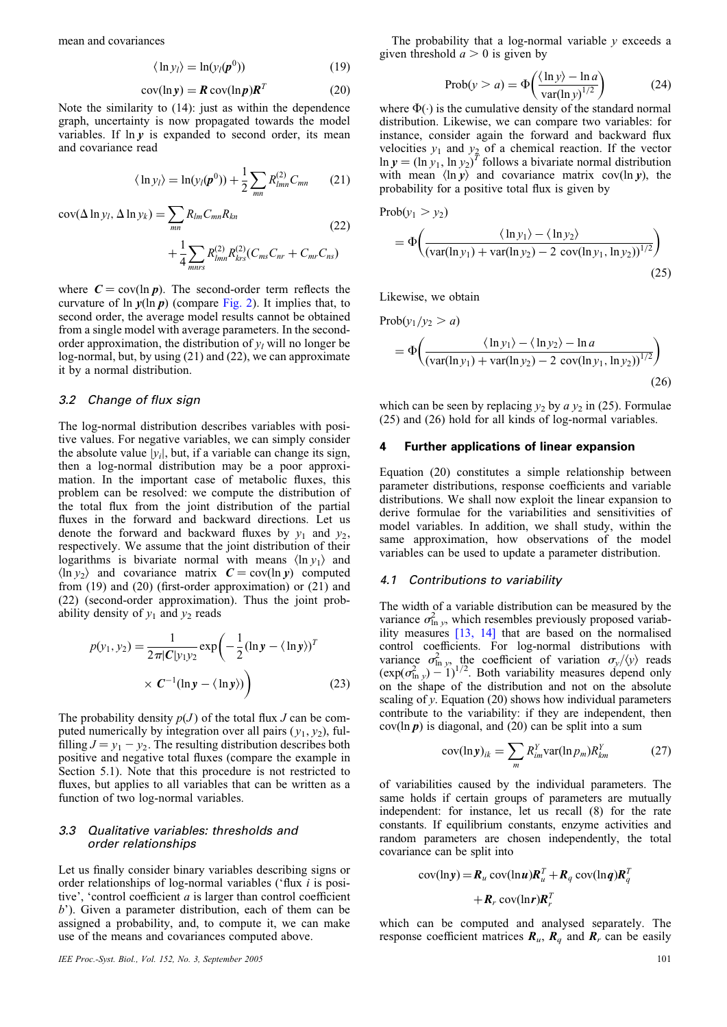mean and covariances

$$
\langle \ln y_l \rangle = \ln(y_l(\boldsymbol{p}^0)) \tag{19}
$$

$$
cov(\ln y) = R \, cov(\ln p) R^T \tag{20}
$$

Note the similarity to (14): just as within the dependence graph, uncertainty is now propagated towards the model variables. If  $\ln y$  is expanded to second order, its mean and covariance read

$$
\langle \ln y_l \rangle = \ln(y_l(\boldsymbol{p}^0)) + \frac{1}{2} \sum_{mn} R_{lmn}^{(2)} C_{mn}
$$
 (21)

$$
cov(\Delta \ln y_l, \Delta \ln y_k) = \sum_{mn} R_{lm} C_{mn} R_{kn}
$$
\n
$$
+ \frac{1}{4} \sum_{mnrs} R_{lmn}^{(2)} R_{krs}^{(2)} (C_{ms} C_{nr} + C_{mr} C_{ns})
$$
\n(22)

where  $C = cov(\ln p)$ . The second-order term reflects the curvature of  $\ln y(\ln p)$  (compare [Fig. 2\)](#page-3-0). It implies that, to second order, the average model results cannot be obtained from a single model with average parameters. In the secondorder approximation, the distribution of  $y_l$  will no longer be log-normal, but, by using (21) and (22), we can approximate it by a normal distribution.

#### 3.2 Change of flux sign

The log-normal distribution describes variables with positive values. For negative variables, we can simply consider the absolute value  $|y_i|$ , but, if a variable can change its sign, then a log-normal distribution may be a poor approximation. In the important case of metabolic fluxes, this problem can be resolved: we compute the distribution of the total flux from the joint distribution of the partial fluxes in the forward and backward directions. Let us denote the forward and backward fluxes by  $y_1$  and  $y_2$ , respectively. We assume that the joint distribution of their logarithms is bivariate normal with means  $\langle \ln y_1 \rangle$  and  $\langle \ln y_2 \rangle$  and covariance matrix  $C = cov(\ln y)$  computed from (19) and (20) (first-order approximation) or (21) and (22) (second-order approximation). Thus the joint probability density of  $y_1$  and  $y_2$  reads

$$
p(y_1, y_2) = \frac{1}{2\pi |C|y_1y_2} \exp\left(-\frac{1}{2}(\ln y - \langle \ln y \rangle)^T \times C^{-1}(\ln y - \langle \ln y \rangle)\right)
$$
 (23)

The probability density  $p(J)$  of the total flux J can be computed numerically by integration over all pairs  $(y_1, y_2)$ , fulfilling  $J = y_1 - y_2$ . The resulting distribution describes both positive and negative total fluxes (compare the example in Section 5.1). Note that this procedure is not restricted to fluxes, but applies to all variables that can be written as a function of two log-normal variables.

#### 3.3 Qualitative variables: thresholds and order relationships

Let us finally consider binary variables describing signs or order relationships of log-normal variables ('flux i is positive', 'control coefficient  $a$  is larger than control coefficient b'). Given a parameter distribution, each of them can be assigned a probability, and, to compute it, we can make use of the means and covariances computed above.

IEE Proc.-Syst. Biol., Vol. 152, No. 3, September 2005 101

The probability that a log-normal variable  $\nu$  exceeds a given threshold  $a > 0$  is given by

$$
Prob(y > a) = \Phi\left(\frac{\langle \ln y \rangle - \ln a}{var(\ln y)^{1/2}}\right)
$$
 (24)

where  $\Phi(\cdot)$  is the cumulative density of the standard normal distribution. Likewise, we can compare two variables: for instance, consider again the forward and backward flux velocities  $y_1$  and  $y_2$  of a chemical reaction. If the vector  $\ln y = (\ln y_1, \ln y_2)^T$  follows a bivariate normal distribution with mean  $\langle \ln y \rangle$  and covariance matrix cov(ln y), the probability for a positive total flux is given by

Prob(y<sub>1</sub> > y<sub>2</sub>)  
= 
$$
\Phi\left(\frac{\ln y_1 - \ln y_2}{(\text{var}(\ln y_1) + \text{var}(\ln y_2) - 2 \text{ cov}(\ln y_1, \ln y_2))^{1/2}}\right)
$$
 (25)

Likewise, we obtain

$$
\text{Prob}(y_1/y_2 > a)
$$
\n
$$
= \Phi\left(\frac{\langle \ln y_1 \rangle - \langle \ln y_2 \rangle - \ln a}{\langle \operatorname{var}(\ln y_1) + \operatorname{var}(\ln y_2) - 2 \operatorname{cov}(\ln y_1, \ln y_2) \rangle^{1/2}}\right)
$$
\n(26)

which can be seen by replacing  $y_2$  by  $a y_2$  in (25). Formulae (25) and (26) hold for all kinds of log-normal variables.

#### 4 Further applications of linear expansion

Equation (20) constitutes a simple relationship between parameter distributions, response coefficients and variable distributions. We shall now exploit the linear expansion to derive formulae for the variabilities and sensitivities of model variables. In addition, we shall study, within the same approximation, how observations of the model variables can be used to update a parameter distribution.

#### 4.1 Contributions to variability

The width of a variable distribution can be measured by the variance  $\sigma_{\ln y}^2$ , which resembles previously proposed variability measures [\[13, 14\]](#page-8-0) that are based on the normalised control coefficients. For log-normal distributions with variance  $\sigma_{\ln y}^2$ , the coefficient of variation  $\sigma_y/\langle y \rangle$  reads  $(\exp(\sigma_{\ln y}^2) - 1)^{1/2}$ . Both variability measures depend only on the shape of the distribution and not on the absolute scaling of  $y$ . Equation (20) shows how individual parameters contribute to the variability: if they are independent, then  $cov(\ln p)$  is diagonal, and (20) can be split into a sum

$$
cov(\ln y)_{ik} = \sum_{m} R_{im}^{Y} var(\ln p_m) R_{km}^{Y}
$$
 (27)

of variabilities caused by the individual parameters. The same holds if certain groups of parameters are mutually independent: for instance, let us recall (8) for the rate constants. If equilibrium constants, enzyme activities and random parameters are chosen independently, the total covariance can be split into

$$
cov(\ln y) = R_u cov(\ln u)R_u^T + R_q cov(\ln q)R_q^T
$$

$$
+ R_r cov(\ln r)R_r^T
$$

which can be computed and analysed separately. The response coefficient matrices  $\mathbf{R}_u$ ,  $\mathbf{R}_q$  and  $\mathbf{R}_r$  can be easily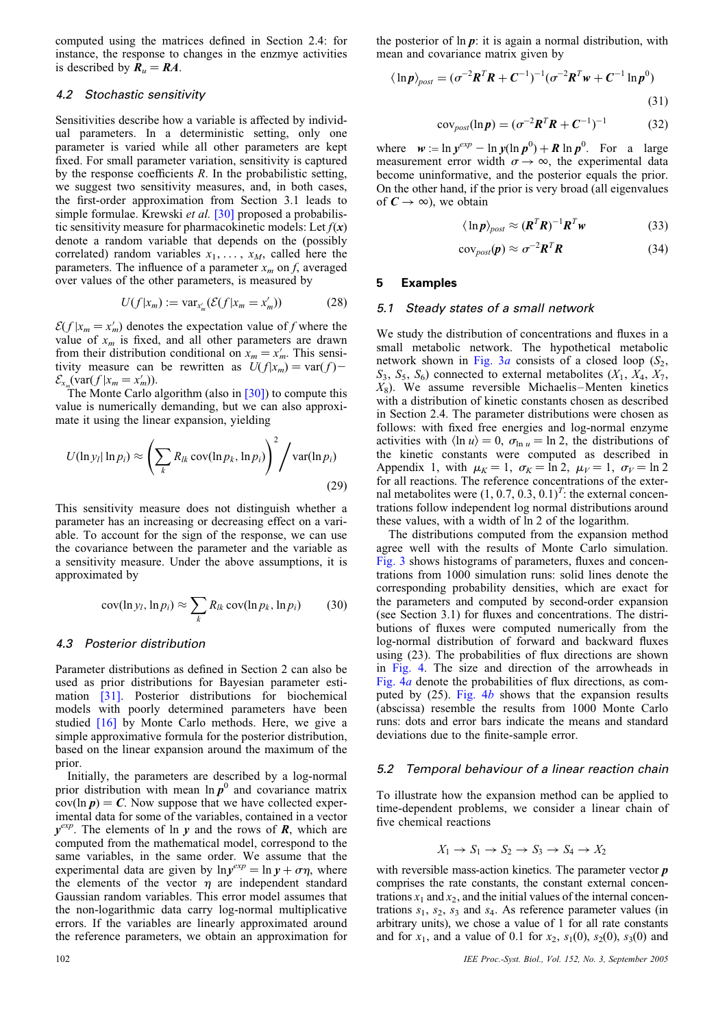computed using the matrices defined in Section 2.4: for instance, the response to changes in the enzmye activities is described by  $R_u = RA$ .

#### 4.2 Stochastic sensitivity

Sensitivities describe how a variable is affected by individual parameters. In a deterministic setting, only one parameter is varied while all other parameters are kept fixed. For small parameter variation, sensitivity is captured by the response coefficients  $R$ . In the probabilistic setting, we suggest two sensitivity measures, and, in both cases, the first-order approximation from Section 3.1 leads to simple formulae. Krewski et al. [\[30\]](#page-8-0) proposed a probabilistic sensitivity measure for pharmacokinetic models: Let  $f(x)$ denote a random variable that depends on the (possibly correlated) random variables  $x_1, \ldots, x_M$ , called here the parameters. The influence of a parameter  $x_m$  on f, averaged over values of the other parameters, is measured by

$$
U(f|x_m) := \text{var}_{x'_m}(\mathcal{E}(f|x_m = x'_m))
$$
\n(28)

 $\mathcal{E}(f | x_m = x'_m)$  denotes the expectation value of f where the value of  $x_m$  is fixed, and all other parameters are drawn from their distribution conditional on  $x_m = x'_m$ . This sensitivity measure can be rewritten as  $U(f|x_m) = \text{var}(f)$  $\mathcal{E}_{x_m}(\text{var}(f \mid x_m = x'_m)).$ 

The Monte Carlo algorithm (also in  $\lceil 30 \rceil$ ) to compute this value is numerically demanding, but we can also approximate it using the linear expansion, yielding

$$
U(\ln y_l \ln p_i) \approx \left(\sum_k R_{lk} \operatorname{cov}(\ln p_k, \ln p_i)\right)^2 / \operatorname{var}(\ln p_i)
$$
\n(29)

This sensitivity measure does not distinguish whether a parameter has an increasing or decreasing effect on a variable. To account for the sign of the response, we can use the covariance between the parameter and the variable as a sensitivity measure. Under the above assumptions, it is approximated by

$$
cov(\ln y_i, \ln p_i) \approx \sum_k R_{lk} cov(\ln p_k, \ln p_i)
$$
 (30)

#### 4.3 Posterior distribution

Parameter distributions as defined in Section 2 can also be used as prior distributions for Bayesian parameter estimation [\[31\].](#page-8-0) Posterior distributions for biochemical models with poorly determined parameters have been studied [\[16\]](#page-8-0) by Monte Carlo methods. Here, we give a simple approximative formula for the posterior distribution, based on the linear expansion around the maximum of the prior.

Initially, the parameters are described by a log-normal prior distribution with mean  $\ln p^0$  and covariance matrix  $cov(\ln p) = C$ . Now suppose that we have collected experimental data for some of the variables, contained in a vector  $y^{exp}$ . The elements of ln y and the rows of R, which are computed from the mathematical model, correspond to the same variables, in the same order. We assume that the experimental data are given by  $ln y^{exp} = ln y + \sigma \eta$ , where the elements of the vector  $\eta$  are independent standard Gaussian random variables. This error model assumes that the non-logarithmic data carry log-normal multiplicative errors. If the variables are linearly approximated around the reference parameters, we obtain an approximation for

$$
\langle \ln p \rangle_{post} = (\sigma^{-2} \boldsymbol{R}^T \boldsymbol{R} + \boldsymbol{C}^{-1})^{-1} (\sigma^{-2} \boldsymbol{R}^T \boldsymbol{w} + \boldsymbol{C}^{-1} \ln p^0)
$$
\n(31)

$$
covpost(ln p) = (\sigma-2RTR + C-1)-1
$$
 (32)

where  $w := \ln y^{exp} - \ln y(\ln p^0) + R \ln p^0$ . For a large measurement error width  $\sigma \rightarrow \infty$ , the experimental data become uninformative, and the posterior equals the prior. On the other hand, if the prior is very broad (all eigenvalues of  $C \rightarrow \infty$ ), we obtain

$$
\langle \ln p \rangle_{post} \approx (\boldsymbol{R}^T \boldsymbol{R})^{-1} \boldsymbol{R}^T \boldsymbol{w}
$$
 (33)

$$
cov_{post}(\boldsymbol{p}) \approx \sigma^{-2} \boldsymbol{R}^T \boldsymbol{R}
$$
 (34)

#### 5 Examples

#### 5.1 Steady states of a small network

We study the distribution of concentrations and fluxes in a small metabolic network. The hypothetical metabolic network shown in Fig.  $3a$  consists of a closed loop ( $S_2$ ,  $S_3$ ,  $S_5$ ,  $S_6$ ) connected to external metabolites  $(X_1, X_4, X_7)$  $X_8$ ). We assume reversible Michaelis–Menten kinetics with a distribution of kinetic constants chosen as described in Section 2.4. The parameter distributions were chosen as follows: with fixed free energies and log-normal enzyme activities with  $\langle \ln u \rangle = 0$ ,  $\sigma_{\ln u} = \ln 2$ , the distributions of the kinetic constants were computed as described in Appendix 1, with  $\mu_K = 1$ ,  $\sigma_K = \ln 2$ ,  $\mu_V = 1$ ,  $\sigma_V = \ln 2$ for all reactions. The reference concentrations of the external metabolites were  $(1, 0.7, 0.3, 0.1)^T$ : the external concentrations follow independent log normal distributions around these values, with a width of ln 2 of the logarithm.

The distributions computed from the expansion method agree well with the results of Monte Carlo simulation. [Fig. 3](#page-6-0) shows histograms of parameters, fluxes and concentrations from 1000 simulation runs: solid lines denote the corresponding probability densities, which are exact for the parameters and computed by second-order expansion (see Section 3.1) for fluxes and concentrations. The distributions of fluxes were computed numerically from the log-normal distribution of forward and backward fluxes using (23). The probabilities of flux directions are shown in [Fig. 4](#page-6-0). The size and direction of the arrowheads in [Fig. 4](#page-6-0)a denote the probabilities of flux directions, as computed by  $(25)$ . [Fig. 4](#page-6-0)b shows that the expansion results (abscissa) resemble the results from 1000 Monte Carlo runs: dots and error bars indicate the means and standard deviations due to the finite-sample error.

#### 5.2 Temporal behaviour of a linear reaction chain

To illustrate how the expansion method can be applied to time-dependent problems, we consider a linear chain of five chemical reactions

$$
X_1 \to S_1 \to S_2 \to S_3 \to S_4 \to X_2
$$

with reversible mass-action kinetics. The parameter vector **p** comprises the rate constants, the constant external concentrations  $x_1$  and  $x_2$ , and the initial values of the internal concentrations  $s_1$ ,  $s_2$ ,  $s_3$  and  $s_4$ . As reference parameter values (in arbitrary units), we chose a value of 1 for all rate constants and for  $x_1$ , and a value of 0.1 for  $x_2$ ,  $s_1(0)$ ,  $s_2(0)$ ,  $s_3(0)$  and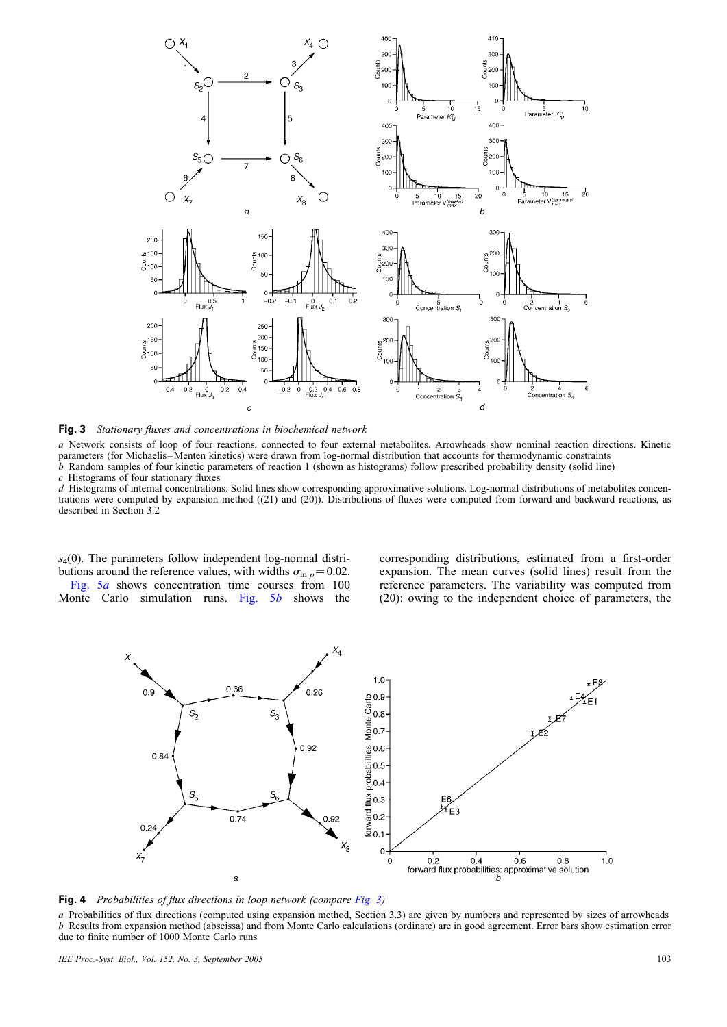<span id="page-6-0"></span>

**Fig. 3** Stationary fluxes and concentrations in biochemical network

a Network consists of loop of four reactions, connected to four external metabolites. Arrowheads show nominal reaction directions. Kinetic parameters (for Michaelis-Menten kinetics) were drawn from log-normal distribution that accounts for thermodynamic constraints  $\dot{b}$  Random samples of four kinetic parameters of reaction 1 (shown as histograms) follow prescribed probability density (solid line) c Histograms of four stationary fluxes

d Histograms of internal concentrations. Solid lines show corresponding approximative solutions. Log-normal distributions of metabolites concentrations were computed by expansion method ((21) and (20)). Distributions of fluxes were computed from forward and backward reactions, as described in Section 3.2

 $s<sub>4</sub>(0)$ . The parameters follow independent log-normal distributions around the reference values, with widths  $\sigma_{\ln p} = 0.02$ . [Fig. 5](#page-7-0)a shows concentration time courses from 100

Monte Carlo simulation runs. [Fig. 5](#page-7-0)b shows the

corresponding distributions, estimated from a first-order expansion. The mean curves (solid lines) result from the reference parameters. The variability was computed from (20): owing to the independent choice of parameters, the



Fig. 4 Probabilities of flux directions in loop network (compare Fig. 3)

a Probabilities of flux directions (computed using expansion method, Section 3.3) are given by numbers and represented by sizes of arrowheads b Results from expansion method (abscissa) and from Monte Carlo calculations (ordinate) are in good agreement. Error bars show estimation error due to finite number of 1000 Monte Carlo runs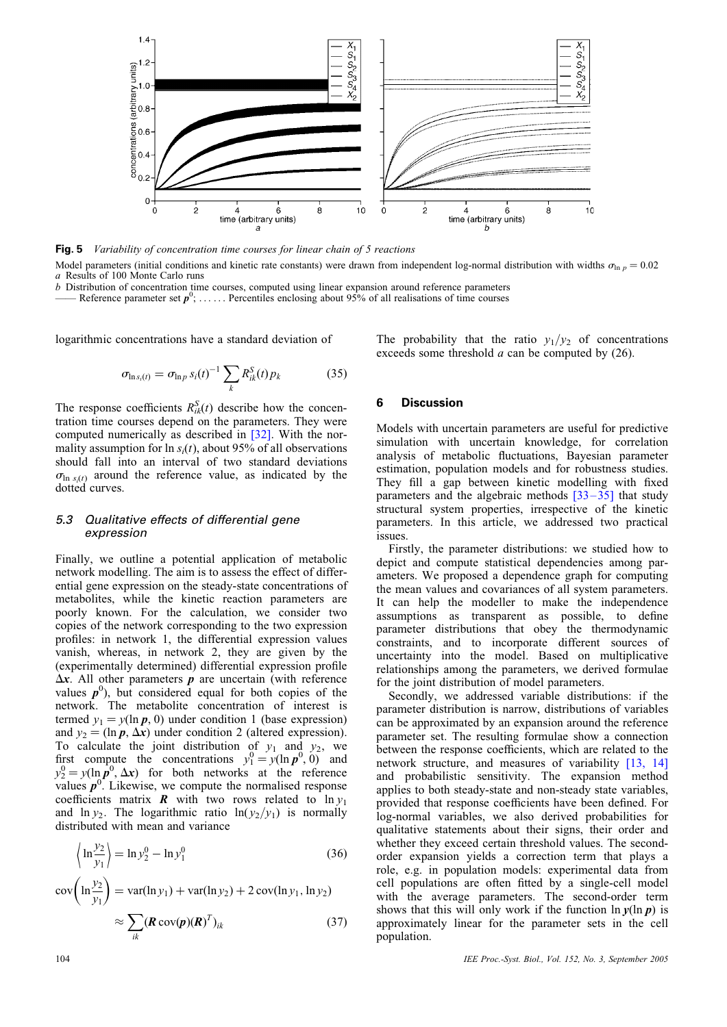<span id="page-7-0"></span>

Fig. 5 Variability of concentration time courses for linear chain of 5 reactions Model parameters (initial conditions and kinetic rate constants) were drawn from independent log-normal distribution with widths  $\sigma_{\ln p} = 0.02$ a Results of 100 Monte Carlo runs

b Distribution of concentration time courses, computed using linear expansion around reference parameters

—— Reference parameter set  $p^0$ ; ...... Percentiles enclosing about 95% of all realisations of time courses

logarithmic concentrations have a standard deviation of

$$
\sigma_{\ln s_i(t)} = \sigma_{\ln p} s_i(t)^{-1} \sum_{k} R_{ik}^{S}(t) p_k \tag{35}
$$

The response coefficients  $R_{ik}^{S}(t)$  describe how the concentration time courses depend on the parameters. They were computed numerically as described in [\[32\]](#page-8-0). With the normality assumption for  $\ln s_i(t)$ , about 95% of all observations should fall into an interval of two standard deviations  $\sigma_{\ln s_i(t)}$  around the reference value, as indicated by the dotted curves.

#### 5.3 Qualitative effects of differential gene expression

Finally, we outline a potential application of metabolic network modelling. The aim is to assess the effect of differential gene expression on the steady-state concentrations of metabolites, while the kinetic reaction parameters are poorly known. For the calculation, we consider two copies of the network corresponding to the two expression profiles: in network 1, the differential expression values vanish, whereas, in network 2, they are given by the (experimentally determined) differential expression profile  $\Delta x$ . All other parameters p are uncertain (with reference values  $p^0$ ), but considered equal for both copies of the network. The metabolite concentration of interest is termed  $y_1 = y(\ln p, 0)$  under condition 1 (base expression) and  $y_2 = (\ln p, \Delta x)$  under condition 2 (altered expression). To calculate the joint distribution of  $y_1$  and  $y_2$ , we first compute the concentrations  $y_1^0 = y(\ln p^0, 0)$  and  $y_2^0 = y(\ln \rho^0, \Delta x)$  for both networks at the reference values  $p^0$ . Likewise, we compute the normalised response coefficients matrix **R** with two rows related to  $\ln y_1$ and  $\ln y_2$ . The logarithmic ratio  $\ln(y_2/y_1)$  is normally distributed with mean and variance

$$
\left\langle \ln \frac{y_2}{y_1} \right\rangle = \ln y_2^0 - \ln y_1^0 \tag{36}
$$

$$
cov\left(\ln\frac{y_2}{y_1}\right) = var(\ln y_1) + var(\ln y_2) + 2 cov(\ln y_1, \ln y_2)
$$

$$
\approx \sum_{ik} (\mathbf{R} cov(\mathbf{p})(\mathbf{R})^T)_{ik}
$$
(37)

The probability that the ratio  $y_1/y_2$  of concentrations exceeds some threshold a can be computed by (26).

#### 6 Discussion

Models with uncertain parameters are useful for predictive simulation with uncertain knowledge, for correlation analysis of metabolic fluctuations, Bayesian parameter estimation, population models and for robustness studies. They fill a gap between kinetic modelling with fixed parameters and the algebraic methods  $\left[33 - 35\right]$  that study structural system properties, irrespective of the kinetic parameters. In this article, we addressed two practical issues.

Firstly, the parameter distributions: we studied how to depict and compute statistical dependencies among parameters. We proposed a dependence graph for computing the mean values and covariances of all system parameters. It can help the modeller to make the independence assumptions as transparent as possible, to define parameter distributions that obey the thermodynamic constraints, and to incorporate different sources of uncertainty into the model. Based on multiplicative relationships among the parameters, we derived formulae for the joint distribution of model parameters.

Secondly, we addressed variable distributions: if the parameter distribution is narrow, distributions of variables can be approximated by an expansion around the reference parameter set. The resulting formulae show a connection between the response coefficients, which are related to the network structure, and measures of variability [\[13, 14\]](#page-8-0) and probabilistic sensitivity. The expansion method applies to both steady-state and non-steady state variables, provided that response coefficients have been defined. For log-normal variables, we also derived probabilities for qualitative statements about their signs, their order and whether they exceed certain threshold values. The secondorder expansion yields a correction term that plays a role, e.g. in population models: experimental data from cell populations are often fitted by a single-cell model with the average parameters. The second-order term shows that this will only work if the function  $\ln \gamma(\ln p)$  is approximately linear for the parameter sets in the cell population.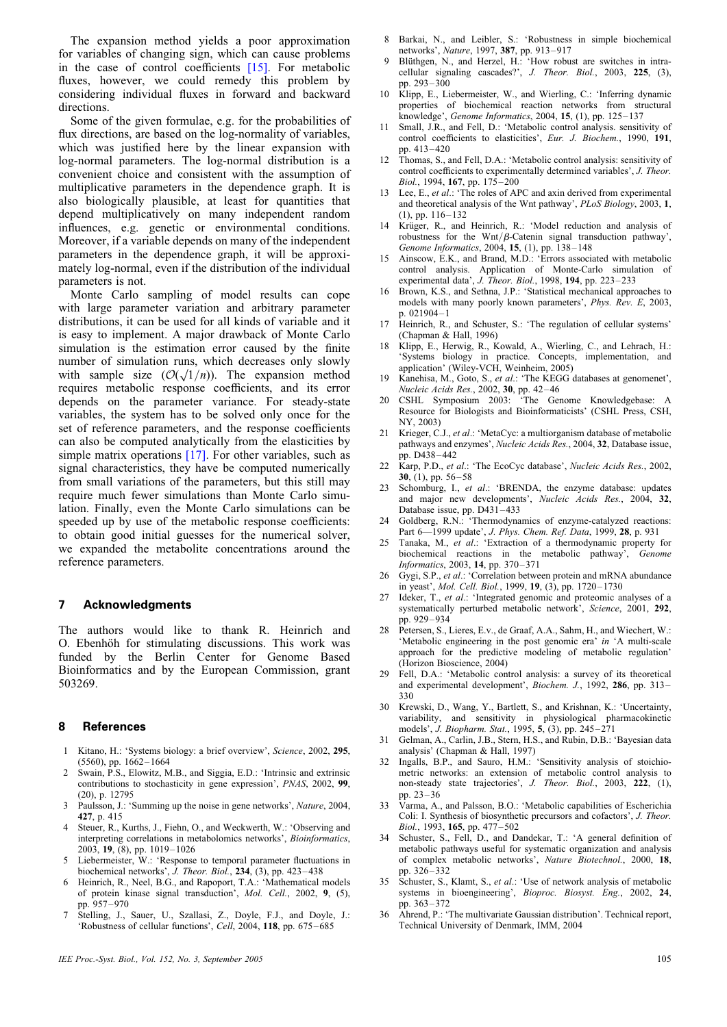<span id="page-8-0"></span>The expansion method yields a poor approximation for variables of changing sign, which can cause problems in the case of control coefficients [15]. For metabolic fluxes, however, we could remedy this problem by considering individual fluxes in forward and backward directions.

Some of the given formulae, e.g. for the probabilities of flux directions, are based on the log-normality of variables, which was justified here by the linear expansion with log-normal parameters. The log-normal distribution is a convenient choice and consistent with the assumption of multiplicative parameters in the dependence graph. It is also biologically plausible, at least for quantities that depend multiplicatively on many independent random influences, e.g. genetic or environmental conditions. Moreover, if a variable depends on many of the independent parameters in the dependence graph, it will be approximately log-normal, even if the distribution of the individual parameters is not.

Monte Carlo sampling of model results can cope with large parameter variation and arbitrary parameter distributions, it can be used for all kinds of variable and it is easy to implement. A major drawback of Monte Carlo simulation is the estimation error caused by the finite number of simulation runs, which decreases only slowly number of simulation runs, which decreases only slowly<br>with sample size  $(\mathcal{O}(\sqrt{1/n}))$ . The expansion method requires metabolic response coefficients, and its error depends on the parameter variance. For steady-state variables, the system has to be solved only once for the set of reference parameters, and the response coefficients can also be computed analytically from the elasticities by simple matrix operations [17]. For other variables, such as signal characteristics, they have be computed numerically from small variations of the parameters, but this still may require much fewer simulations than Monte Carlo simulation. Finally, even the Monte Carlo simulations can be speeded up by use of the metabolic response coefficients: to obtain good initial guesses for the numerical solver, we expanded the metabolite concentrations around the reference parameters.

#### 7 Acknowledgments

The authors would like to thank R. Heinrich and O. Ebenhöh for stimulating discussions. This work was funded by the Berlin Center for Genome Based Bioinformatics and by the European Commission, grant 503269.

#### 8 References

- 1 Kitano, H.: 'Systems biology: a brief overview', Science, 2002, 295, (5560), pp. 1662–1664
- 2 Swain, P.S., Elowitz, M.B., and Siggia, E.D.: 'Intrinsic and extrinsic contributions to stochasticity in gene expression', PNAS, 2002, 99, (20), p. 12795
- 3 Paulsson, J.: 'Summing up the noise in gene networks', Nature, 2004, 427, p. 415
- Steuer, R., Kurths, J., Fiehn, O., and Weckwerth, W.: 'Observing and interpreting correlations in metabolomics networks', Bioinformatics, 2003, 19, (8), pp. 1019–1026
- Liebermeister, W.: 'Response to temporal parameter fluctuations in biochemical networks',  $\overline{J}$ . Theor. Biol., 234, (3), pp. 423–438
- Heinrich, R., Neel, B.G., and Rapoport, T.A.: 'Mathematical models of protein kinase signal transduction', Mol. Cell., 2002, 9, (5), pp. 957–970
- 7 Stelling, J., Sauer, U., Szallasi, Z., Doyle, F.J., and Doyle, J.: 'Robustness of cellular functions', Cell, 2004, 118, pp. 675 –685
- IEE Proc.-Syst. Biol., Vol. 152, No. 3, September 2005 105
- 8 Barkai, N., and Leibler, S.: 'Robustness in simple biochemical networks', Nature, 1997, 387, pp. 913–917
- 9 Blüthgen, N., and Herzel, H.: 'How robust are switches in intracellular signaling cascades?', J. Theor. Biol., 2003, 225, (3), pp. 293–300
- 10 Klipp, E., Liebermeister, W., and Wierling, C.: 'Inferring dynamic properties of biochemical reaction networks from structural knowledge', Genome Informatics, 2004, 15, (1), pp. 125–137
- 11 Small, J.R., and Fell, D.: 'Metabolic control analysis. sensitivity of control coefficients to elasticities', Eur. J. Biochem., 1990, 191, pp. 413–420
- 12 Thomas, S., and Fell, D.A.: 'Metabolic control analysis: sensitivity of control coefficients to experimentally determined variables', J. Theor. Biol., 1994, 167, pp.  $175-200$
- 13 Lee, E., et al.: 'The roles of APC and axin derived from experimental and theoretical analysis of the Wnt pathway', PLoS Biology, 2003, 1,  $(1)$ , pp.  $116-132$
- Krüger, R., and Heinrich, R.: 'Model reduction and analysis of robustness for the Wnt/ $\beta$ -Catenin signal transduction pathway', Genome Informatics, 2004, 15, (1), pp. 138-148
- 15 Ainscow, E.K., and Brand, M.D.: 'Errors associated with metabolic control analysis. Application of Monte-Carlo simulation of experimental data', J. Theor. Biol., 1998, 194, pp. 223-233
- 16 Brown, K.S., and Sethna, J.P.: 'Statistical mechanical approaches to models with many poorly known parameters', Phys. Rev. E, 2003, p. 021904– 1
- 17 Heinrich, R., and Schuster, S.: 'The regulation of cellular systems' (Chapman & Hall, 1996)
- 18 Klipp, E., Herwig, R., Kowald, A., Wierling, C., and Lehrach, H.: 'Systems biology in practice. Concepts, implementation, and application' (Wiley-VCH, Weinheim, 2005)
- 19 Kanehisa, M., Goto, S., et al.: 'The KEGG databases at genomenet', Nucleic Acids Res., 2002, 30, pp. 42–46
- 20 CSHL Symposium 2003: 'The Genome Knowledgebase: A Resource for Biologists and Bioinformaticists' (CSHL Press, CSH, NY, 2003)
- 21 Krieger, C.J., et al.: 'MetaCyc: a multiorganism database of metabolic pathways and enzymes', Nucleic Acids Res., 2004, 32, Database issue, pp. D438–442
- 22 Karp, P.D., et al.: 'The EcoCyc database', Nucleic Acids Res., 2002, 30, (1), pp. 56–58
- 23 Schomburg, I., et al.: 'BRENDA, the enzyme database: updates and major new developments', Nucleic Acids Res., 2004, 32, Database issue, pp. D431–433
- 24 Goldberg, R.N.: 'Thermodynamics of enzyme-catalyzed reactions: Part 6—1999 update', J. Phys. Chem. Ref. Data, 1999, 28, p. 931
- 25 Tanaka, M., et al.: 'Extraction of a thermodynamic property for biochemical reactions in the metabolic pathway', Genome Informatics, 2003, 14, pp. 370 –371
- 26 Gygi, S.P., et al.: 'Correlation between protein and mRNA abundance in yeast', Mol. Cell. Biol., 1999, 19, (3), pp. 1720–1730
- 27 Ideker, T., et al.: 'Integrated genomic and proteomic analyses of a systematically perturbed metabolic network', Science, 2001, 292, pp. 929–934
- 28 Petersen, S., Lieres, E.v., de Graaf, A.A., Sahm, H., and Wiechert, W.: 'Metabolic engineering in the post genomic era' in 'A multi-scale approach for the predictive modeling of metabolic regulation' (Horizon Bioscience, 2004)
- 29 Fell, D.A.: 'Metabolic control analysis: a survey of its theoretical and experimental development', Biochem. J., 1992, 286, pp. 313– 330
- 30 Krewski, D., Wang, Y., Bartlett, S., and Krishnan, K.: 'Uncertainty, variability, and sensitivity in physiological pharmacokinetic models', J. Biopharm. Stat., 1995, 5, (3), pp. 245–271
- 31 Gelman, A., Carlin, J.B., Stern, H.S., and Rubin, D.B.: 'Bayesian data analysis' (Chapman & Hall, 1997)
- 32 Ingalls, B.P., and Sauro, H.M.: 'Sensitivity analysis of stoichiometric networks: an extension of metabolic control analysis to non-steady state trajectories', J. Theor. Biol., 2003, 222, (1), pp. 23–36
- 33 Varma, A., and Palsson, B.O.: 'Metabolic capabilities of Escherichia Coli: I. Synthesis of biosynthetic precursors and cofactors', J. Theor. Biol., 1993, 165, pp. 477–502
- 34 Schuster, S., Fell, D., and Dandekar, T.: 'A general definition of metabolic pathways useful for systematic organization and analysis of complex metabolic networks', Nature Biotechnol., 2000, 18, pp. 326–332
- Schuster, S., Klamt, S., et al.: 'Use of network analysis of metabolic systems in bioengineering', Bioproc. Biosyst. Eng., 2002, 24, pp. 363–372
- 36 Ahrend, P.: 'The multivariate Gaussian distribution'. Technical report, Technical University of Denmark, IMM, 2004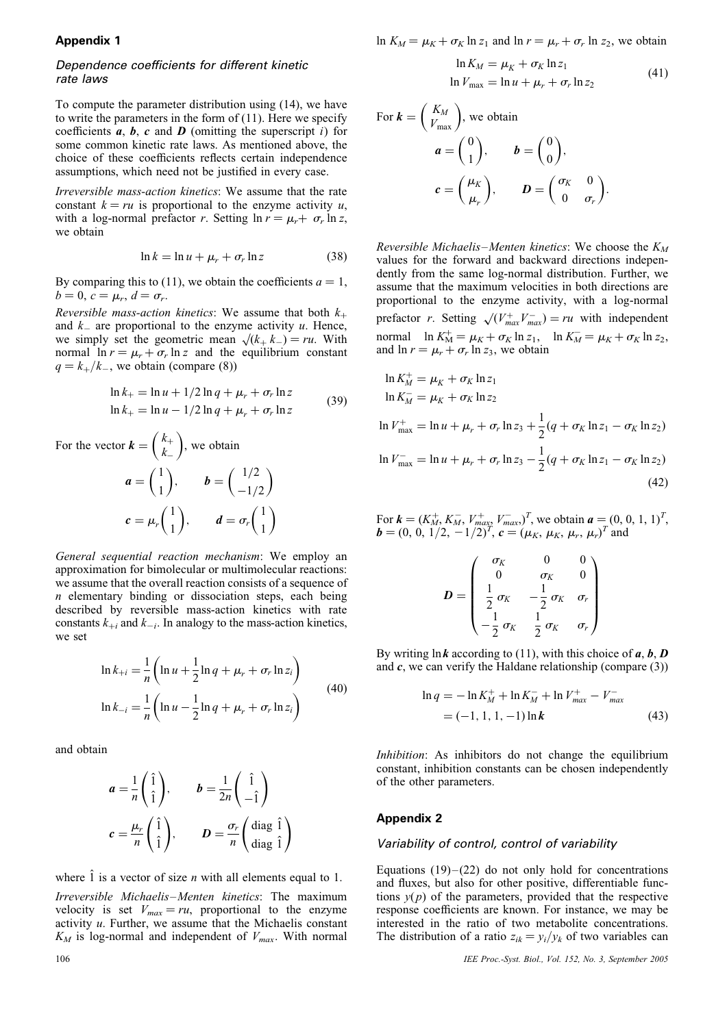#### Appendix 1

#### Dependence coefficients for different kinetic rate laws

To compute the parameter distribution using (14), we have to write the parameters in the form of  $(11)$ . Here we specify coefficients  $a, b, c$  and  $D$  (omitting the superscript i) for some common kinetic rate laws. As mentioned above, the choice of these coefficients reflects certain independence assumptions, which need not be justified in every case.

Irreversible mass-action kinetics: We assume that the rate constant  $k = ru$  is proportional to the enzyme activity u, with a log-normal prefactor r. Setting  $\ln r = \mu_r + \sigma_r \ln z$ , we obtain

$$
\ln k = \ln u + \mu_r + \sigma_r \ln z \tag{38}
$$

By comparing this to (11), we obtain the coefficients  $a = 1$ ,  $b = 0, c = \mu_r, d = \sigma_r.$ 

Reversible mass-action kinetics: We assume that both  $k_{+}$ and  $k_{-}$  are proportional to the enzyme activity u. Hence, we simply set the geometric mean  $\sqrt{k_+ k_-} = ru$ . With normal  $\ln r = \mu_r + \sigma_r \ln z$  and the equilibrium constant  $q = k_{+}/k_{-}$ , we obtain (compare (8))

$$
\ln k_{+} = \ln u + \frac{1}{2} \ln q + \mu_{r} + \sigma_{r} \ln z
$$
  

$$
\ln k_{+} = \ln u - \frac{1}{2} \ln q + \mu_{r} + \sigma_{r} \ln z
$$
 (39)

For the vector 
$$
\mathbf{k} = \begin{pmatrix} k_+ \\ k_- \end{pmatrix}
$$
, we obtain  
\n $\mathbf{a} = \begin{pmatrix} 1 \\ 1 \end{pmatrix}$ ,  $\mathbf{b} = \begin{pmatrix} 1/2 \\ -1/2 \end{pmatrix}$   
\n $\mathbf{c} = \mu_r \begin{pmatrix} 1 \\ 1 \end{pmatrix}$ ,  $\mathbf{d} = \sigma_r \begin{pmatrix} 1 \\ 1 \end{pmatrix}$ 

General sequential reaction mechanism: We employ an approximation for bimolecular or multimolecular reactions: we assume that the overall reaction consists of a sequence of  $n$  elementary binding or dissociation steps, each being described by reversible mass-action kinetics with rate constants  $k_{+i}$  and  $k_{-i}$ . In analogy to the mass-action kinetics, we set

$$
\ln k_{+i} = \frac{1}{n} \left( \ln u + \frac{1}{2} \ln q + \mu_r + \sigma_r \ln z_i \right)
$$
  

$$
\ln k_{-i} = \frac{1}{n} \left( \ln u - \frac{1}{2} \ln q + \mu_r + \sigma_r \ln z_i \right)
$$
(40)

and obtain

$$
a = \frac{1}{n} \begin{pmatrix} \hat{1} \\ \hat{1} \end{pmatrix}, \qquad b = \frac{1}{2n} \begin{pmatrix} \hat{1} \\ -\hat{1} \end{pmatrix}
$$

$$
c = \frac{\mu_r}{n} \begin{pmatrix} \hat{1} \\ \hat{1} \end{pmatrix}, \qquad D = \frac{\sigma_r}{n} \begin{pmatrix} \text{diag } \hat{1} \\ \text{diag } \hat{1} \end{pmatrix}
$$

where  $\hat{1}$  is a vector of size *n* with all elements equal to 1.

Irreversible Michaelis –Menten kinetics: The maximum velocity is set  $V_{max} = ru$ , proportional to the enzyme activity  $u$ . Further, we assume that the Michaelis constant  $K_M$  is log-normal and independent of  $V_{max}$ . With normal ln  $K_M = \mu_K + \sigma_K \ln z_1$  and  $\ln r = \mu_r + \sigma_r \ln z_2$ , we obtain

$$
\ln K_M = \mu_K + \sigma_K \ln z_1
$$
  

$$
\ln V_{\text{max}} = \ln u + \mu_r + \sigma_r \ln z_2
$$
 (41)

For 
$$
k = \begin{pmatrix} K_M \\ V_{\text{max}} \end{pmatrix}
$$
, we obtain  
\n
$$
a = \begin{pmatrix} 0 \\ 1 \end{pmatrix}, \qquad b = \begin{pmatrix} 0 \\ 0 \end{pmatrix},
$$
\n
$$
c = \begin{pmatrix} \mu_K \\ \mu_r \end{pmatrix}, \qquad D = \begin{pmatrix} \sigma_K & 0 \\ 0 & \sigma_r \end{pmatrix}.
$$

Reversible Michaelis–Menten kinetics: We choose the  $K_M$ values for the forward and backward directions independently from the same log-normal distribution. Further, we assume that the maximum velocities in both directions are proportional to the enzyme activity, with a log-normal prefactor *r*. Setting  $\sqrt{(V_{max}^+ V_{max}^-)} = ru$  with independent normal  $\ln K_M^+ = \mu_K + \sigma_K \ln z_1$ ,  $\ln K_M^- = \mu_K + \sigma_K \ln z_2$ , and  $\ln r = \mu_r + \sigma_r \ln z_3$ , we obtain

$$
\ln K_M^+ = \mu_K + \sigma_K \ln z_1
$$
  
\n
$$
\ln K_M^- = \mu_K + \sigma_K \ln z_2
$$
  
\n
$$
\ln V_{\text{max}}^+ = \ln u + \mu_r + \sigma_r \ln z_3 + \frac{1}{2} (q + \sigma_K \ln z_1 - \sigma_K \ln z_2)
$$
  
\n
$$
\ln V_{\text{max}}^- = \ln u + \mu_r + \sigma_r \ln z_3 - \frac{1}{2} (q + \sigma_K \ln z_1 - \sigma_K \ln z_2)
$$
\n(42)

For  $\mathbf{k} = (K_M^+, K_M^-, V_{max}^+, V_{max}^-)^T$ , we obtain  $\mathbf{a} = (0, 0, 1, 1)^T$ ,  $\mathbf{b} = (0, 0, 1/2, -1/2)^T$ ,  $\mathbf{c} = (\mu_K, \mu_K, \mu_r, \mu_r)^T$  and

$$
D = \begin{pmatrix} \sigma_K & 0 & 0 \\ 0 & \sigma_K & 0 \\ \frac{1}{2} \sigma_K & -\frac{1}{2} \sigma_K & \sigma_r \\ -\frac{1}{2} \sigma_K & \frac{1}{2} \sigma_K & \sigma_r \end{pmatrix}
$$

By writing lnk according to (11), with this choice of  $a, b, D$ and  $c$ , we can verify the Haldane relationship (compare  $(3)$ )

$$
\ln q = -\ln K_M^+ + \ln K_M^- + \ln V_{max}^+ - V_{max}^-
$$
  
= (-1, 1, 1, -1) ln **k** (43)

Inhibition: As inhibitors do not change the equilibrium constant, inhibition constants can be chosen independently of the other parameters.

### Appendix 2

#### Variability of control, control of variability

Equations  $(19)$  –  $(22)$  do not only hold for concentrations and fluxes, but also for other positive, differentiable functions  $y(p)$  of the parameters, provided that the respective response coefficients are known. For instance, we may be interested in the ratio of two metabolite concentrations. The distribution of a ratio  $z_{ik} = y_i/y_k$  of two variables can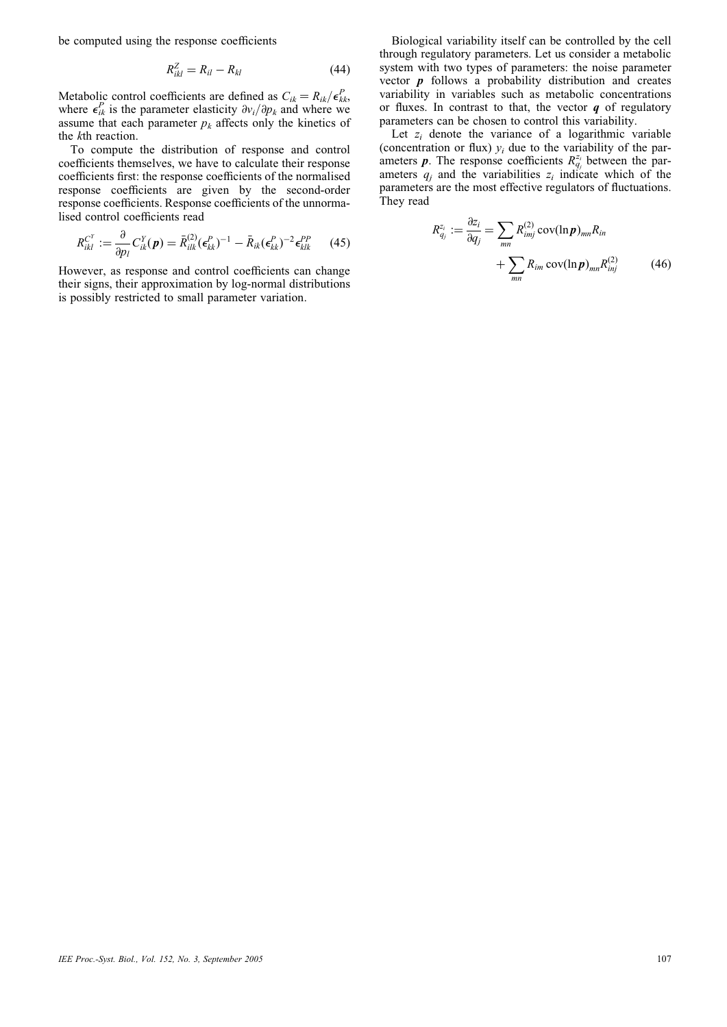be computed using the response coefficients

$$
R_{ikl}^Z = R_{il} - R_{kl} \tag{44}
$$

Metabolic control coefficients are defined as  $C_{ik} = R_{ik}/\epsilon_{kk}^P$ , where  $\epsilon_{ik}^P$  is the parameter elasticity  $\partial v_i / \partial p_k$  and where we assume that each parameter  $p_k$  affects only the kinetics of the kth reaction.

To compute the distribution of response and control coefficients themselves, we have to calculate their response coefficients first: the response coefficients of the normalised response coefficients are given by the second-order response coefficients. Response coefficients of the unnormalised control coefficients read

$$
R_{ikl}^{C^Y} := \frac{\partial}{\partial p_l} C_{ik}^Y(\boldsymbol{p}) = \bar{R}_{ilk}^{(2)} (\boldsymbol{\epsilon}_{kk}^P)^{-1} - \bar{R}_{ik} (\boldsymbol{\epsilon}_{kk}^P)^{-2} \boldsymbol{\epsilon}_{klk}^{PP} \qquad (45)
$$

However, as response and control coefficients can change their signs, their approximation by log-normal distributions is possibly restricted to small parameter variation.

Biological variability itself can be controlled by the cell through regulatory parameters. Let us consider a metabolic system with two types of parameters: the noise parameter vector  $\boldsymbol{p}$  follows a probability distribution and creates variability in variables such as metabolic concentrations or fluxes. In contrast to that, the vector  $q$  of regulatory parameters can be chosen to control this variability.

Let  $z_i$  denote the variance of a logarithmic variable (concentration or flux)  $y_i$  due to the variability of the parameters **p**. The response coefficients  $R_{q_j}^{z_i}$  between the parameters  $q_i$  and the variabilities  $z_i$  indicate which of the parameters are the most effective regulators of fluctuations. They read

$$
R_{q_j}^{z_i} := \frac{\partial z_i}{\partial q_j} = \sum_{mn} R_{imj}^{(2)} \operatorname{cov}(\ln \boldsymbol{p})_{mn} R_{in} + \sum_{mn} R_{im} \operatorname{cov}(\ln \boldsymbol{p})_{mn} R_{inj}^{(2)} \tag{46}
$$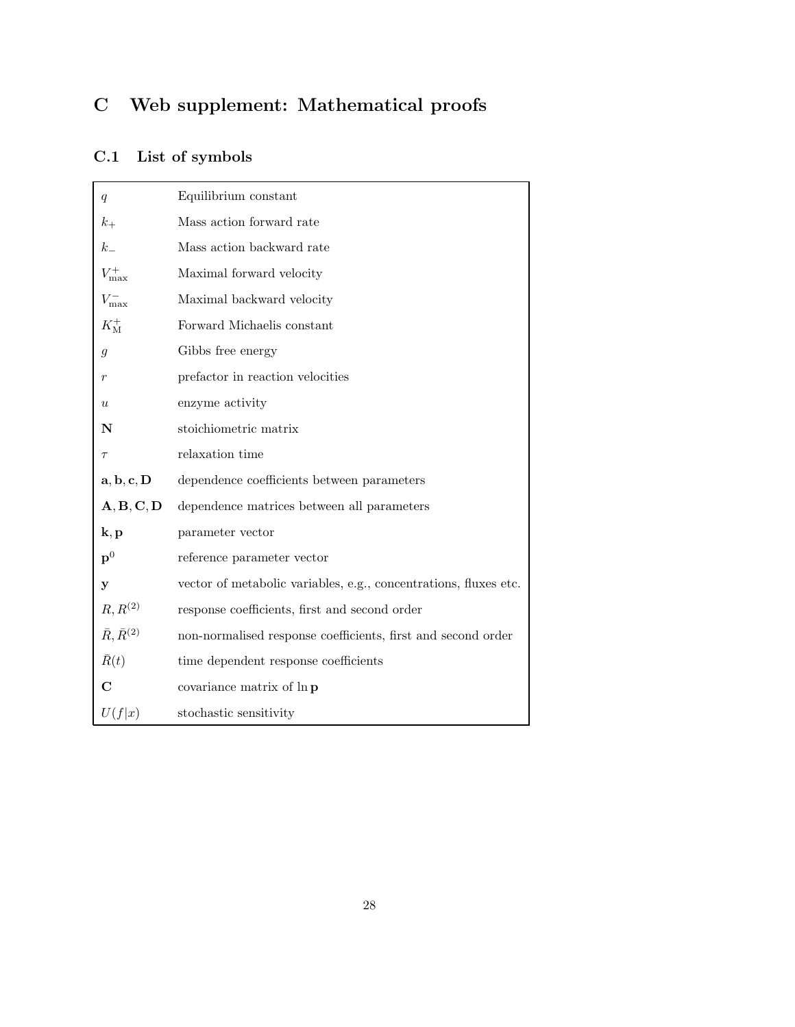## C Web supplement: Mathematical proofs

## C.1 List of symbols

| q                                             | Equilibrium constant                                             |
|-----------------------------------------------|------------------------------------------------------------------|
| $k_{+}$                                       | Mass action forward rate                                         |
| $k_{-}$                                       | Mass action backward rate                                        |
| $V_{\rm max}^+$                               | Maximal forward velocity                                         |
| $V_{\rm max}^-$                               | Maximal backward velocity                                        |
| $K_{\rm M}^+$                                 | Forward Michaelis constant                                       |
| $\mathfrak{g}$                                | Gibbs free energy                                                |
| r                                             | prefactor in reaction velocities                                 |
| $\boldsymbol{\mathit{u}}$                     | enzyme activity                                                  |
| N                                             | stoichiometric matrix                                            |
| $\tau$                                        | relaxation time                                                  |
| $\mathbf{a},\mathbf{b},\mathbf{c},\mathbf{D}$ | dependence coefficients between parameters                       |
| A, B, C, D                                    | dependence matrices between all parameters                       |
| $\mathbf{k},\mathbf{p}$                       | parameter vector                                                 |
| $\mathbf{p}^0$                                | reference parameter vector                                       |
| у                                             | vector of metabolic variables, e.g., concentrations, fluxes etc. |
| $R, R^{(2)}$                                  | response coefficients, first and second order                    |
| $\bar{R}, \bar{R}^{(2)}$                      | non-normalised response coefficients, first and second order     |
| $\bar{R}(t)$                                  | time dependent response coefficients                             |
| C                                             | covariance matrix of ln p                                        |
| U(f x)                                        | stochastic sensitivity                                           |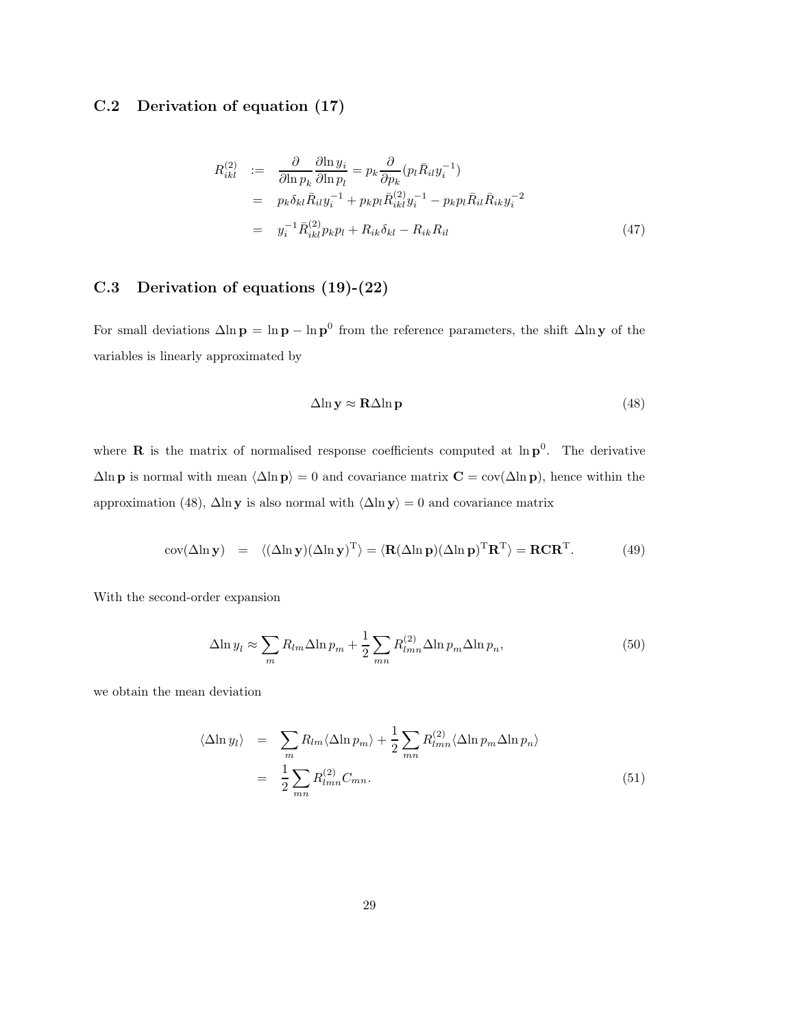## C.2 Derivation of equation (17)

$$
R_{ikl}^{(2)} := \frac{\partial}{\partial \ln p_k} \frac{\partial \ln y_i}{\partial \ln p_l} = p_k \frac{\partial}{\partial p_k} (p_l \bar{R}_{il} y_i^{-1})
$$
  
\n
$$
= p_k \delta_{kl} \bar{R}_{il} y_i^{-1} + p_k p_l \bar{R}_{ikl}^{(2)} y_i^{-1} - p_k p_l \bar{R}_{il} \bar{R}_{ik} y_i^{-2}
$$
  
\n
$$
= y_i^{-1} \bar{R}_{ikl}^{(2)} p_k p_l + R_{ik} \delta_{kl} - R_{ik} R_{il}
$$
(47)

## C.3 Derivation of equations (19)-(22)

For small deviations  $\Delta \ln p = \ln p - \ln p^0$  from the reference parameters, the shift  $\Delta \ln y$  of the variables is linearly approximated by

$$
\Delta \ln y \approx R \Delta \ln p \tag{48}
$$

where **R** is the matrix of normalised response coefficients computed at  $\ln p^0$ . The derivative  $\Delta \ln p$  is normal with mean  $\langle \Delta \ln p \rangle = 0$  and covariance matrix  $C = cov(\Delta \ln p)$ , hence within the approximation (48),  $\Delta \ln y$  is also normal with  $\langle \Delta \ln y \rangle = 0$  and covariance matrix

$$
cov(\Delta \ln y) = \langle (\Delta \ln y)(\Delta \ln y)^{T} \rangle = \langle \mathbf{R}(\Delta \ln p)(\Delta \ln p)^{T} \mathbf{R}^{T} \rangle = \mathbf{R} \mathbf{C} \mathbf{R}^{T}.
$$
 (49)

With the second-order expansion

$$
\Delta \ln y_l \approx \sum_m R_{lm} \Delta \ln p_m + \frac{1}{2} \sum_{mn} R_{lmn}^{(2)} \Delta \ln p_m \Delta \ln p_n, \tag{50}
$$

we obtain the mean deviation

$$
\langle \Delta \ln y_l \rangle = \sum_m R_{lm} \langle \Delta \ln p_m \rangle + \frac{1}{2} \sum_{mn} R_{lmn}^{(2)} \langle \Delta \ln p_m \Delta \ln p_n \rangle
$$
  
= 
$$
\frac{1}{2} \sum_{mn} R_{lmn}^{(2)} C_{mn}.
$$
 (51)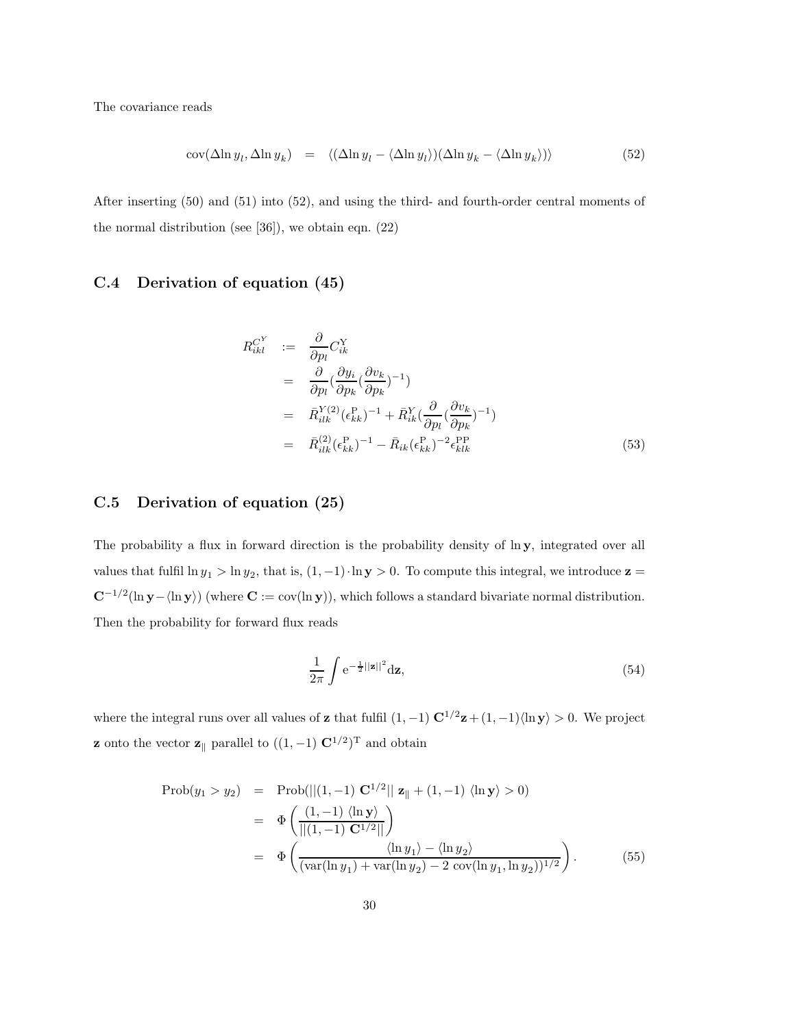The covariance reads

$$
cov(\Delta \ln y_l, \Delta \ln y_k) = \langle (\Delta \ln y_l - \langle \Delta \ln y_l \rangle)(\Delta \ln y_k - \langle \Delta \ln y_k \rangle) \rangle \tag{52}
$$

After inserting (50) and (51) into (52), and using the third- and fourth-order central moments of the normal distribution (see [36]), we obtain eqn. (22)

## C.4 Derivation of equation (45)

$$
R_{ikl}^{C^Y} := \frac{\partial}{\partial p_l} C_{ik}^Y
$$
  
\n
$$
= \frac{\partial}{\partial p_l} (\frac{\partial y_i}{\partial p_k} (\frac{\partial v_k}{\partial p_k})^{-1})
$$
  
\n
$$
= \bar{R}_{ilk}^{Y(2)} (\epsilon_{kk}^P)^{-1} + \bar{R}_{ik}^Y (\frac{\partial}{\partial p_l} (\frac{\partial v_k}{\partial p_k})^{-1})
$$
  
\n
$$
= \bar{R}_{ilk}^{(2)} (\epsilon_{kk}^P)^{-1} - \bar{R}_{ik} (\epsilon_{kk}^P)^{-2} \epsilon_{klk}^{PP}
$$
(53)

### C.5 Derivation of equation (25)

The probability a flux in forward direction is the probability density of  $\ln y$ , integrated over all values that fulfil  $\ln y_1 > \ln y_2$ , that is,  $(1, -1) \cdot \ln y > 0$ . To compute this integral, we introduce  $z =$  $\mathbf{C}^{-1/2}(\ln \mathbf{y} - \langle \ln \mathbf{y} \rangle)$  (where  $\mathbf{C} := \text{cov}(\ln \mathbf{y})$ ), which follows a standard bivariate normal distribution. Then the probability for forward flux reads

$$
\frac{1}{2\pi} \int e^{-\frac{1}{2}||\mathbf{z}||^2} d\mathbf{z},\tag{54}
$$

where the integral runs over all values of **z** that fulfil  $(1, -1) \mathbf{C}^{1/2} \mathbf{z} + (1, -1) \langle \ln \mathbf{y} \rangle > 0$ . We project **z** onto the vector **z**<sub>||</sub> parallel to  $((1, -1) \mathbf{C}^{1/2})^T$  and obtain

$$
\text{Prob}(y_1 > y_2) = \text{Prob}(||(1, -1) \mathbf{C}^{1/2}|| \mathbf{z}_\parallel + (1, -1) \langle \ln \mathbf{y} \rangle > 0) \\
= \Phi\left(\frac{(1, -1) \langle \ln \mathbf{y} \rangle}{||(1, -1) \mathbf{C}^{1/2}||}\right) \\
= \Phi\left(\frac{\langle \ln y_1 \rangle - \langle \ln y_2 \rangle}{(\text{var}(\ln y_1) + \text{var}(\ln y_2) - 2 \text{ cov}(\ln y_1, \ln y_2))^{1/2}}\right). \tag{55}
$$